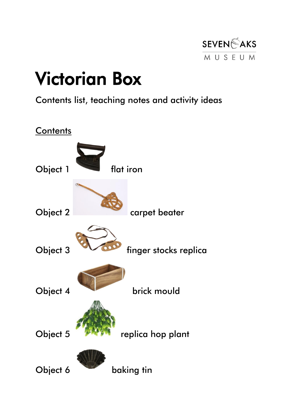

# Victorian Box

Contents list, teaching notes and activity ideas

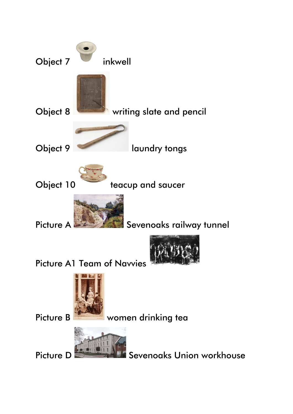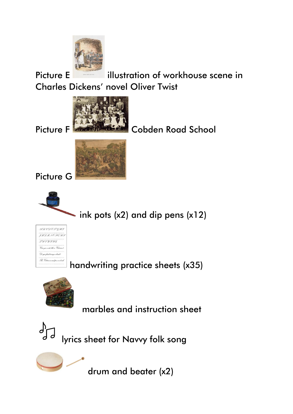

Picture E illustration of workhouse scene in Charles Dickens' novel Oliver Twist



Picture F **Colden Road School** 







handwriting practice sheets (x35)



marbles and instruction sheet



drum and beater (x2)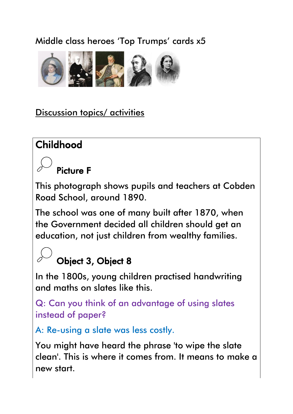### Middle class heroes 'Top Trumps' cards x5



### Discussion topics/ activities

### Childhood

### Picture F

This photograph shows pupils and teachers at Cobden Road School, around 1890.

The school was one of many built after 1870, when the Government decided all children should get an education, not just children from wealthy families.

### Object 3, Object 8

In the 1800s, young children practised handwriting and maths on slates like this.

Q: Can you think of an advantage of using slates instead of paper?

A: Re-using a slate was less costly.

You might have heard the phrase 'to wipe the slate clean'. This is where it comes from. It means to make a new start.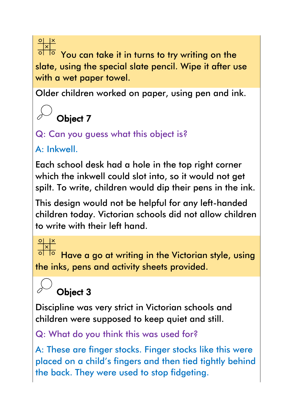You can take it in turns to try writing on the slate, using the special slate pencil. Wipe it after use with a wet paper towel.

Older children worked on paper, using pen and ink.

# Object 7

### Q: Can you guess what this object is?

A: Inkwell.

Each school desk had a hole in the top right corner which the inkwell could slot into, so it would not get spilt. To write, children would dip their pens in the ink.

This design would not be helpful for any left-handed children today. Victorian schools did not allow children to write with their left hand.

 $\frac{\frac{1}{x}}{\frac{1}{x}}$ 

Have a go at writing in the Victorian style, using the inks, pens and activity sheets provided.

# Object 3

Discipline was very strict in Victorian schools and children were supposed to keep quiet and still.

Q: What do you think this was used for?

A: These are finger stocks. Finger stocks like this were placed on a child's fingers and then tied tightly behind the back. They were used to stop fidgeting.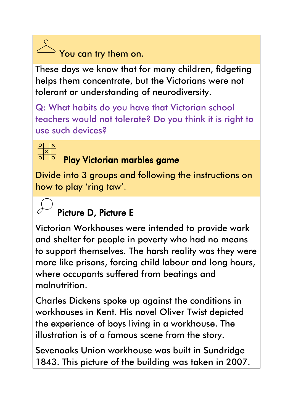You can try them on.

These days we know that for many children, fidgeting helps them concentrate, but the Victorians were not tolerant or understanding of neurodiversity.

Q: What habits do you have that Victorian school teachers would not tolerate? Do you think it is right to use such devices?



# Play Victorian marbles game

Divide into 3 groups and following the instructions on how to play 'ring taw'.

### Picture D, Picture E

Victorian Workhouses were intended to provide work and shelter for people in poverty who had no means to support themselves. The harsh reality was they were more like prisons, forcing child labour and long hours, where occupants suffered from beatings and malnutrition.

Charles Dickens spoke up against the conditions in workhouses in Kent. His novel Oliver Twist depicted the experience of boys living in a workhouse. The illustration is of a famous scene from the story.

Sevenoaks Union workhouse was built in Sundridge 1843. This picture of the building was taken in 2007.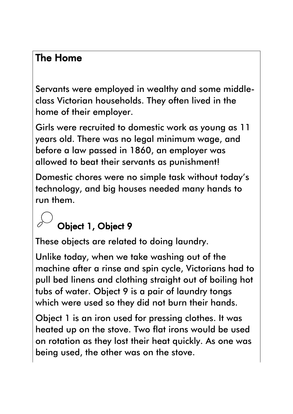### The Home

Servants were employed in wealthy and some middleclass Victorian households. They often lived in the home of their employer.

Girls were recruited to domestic work as young as 11 years old. There was no legal minimum wage, and before a law passed in 1860, an employer was allowed to beat their servants as punishment!

Domestic chores were no simple task without today's technology, and big houses needed many hands to run them.

### Object 1, Object 9

These objects are related to doing laundry.

Unlike today, when we take washing out of the machine after a rinse and spin cycle, Victorians had to pull bed linens and clothing straight out of boiling hot tubs of water. Object 9 is a pair of laundry tongs which were used so they did not burn their hands.

Object 1 is an iron used for pressing clothes. It was heated up on the stove. Two flat irons would be used on rotation as they lost their heat quickly. As one was being used, the other was on the stove.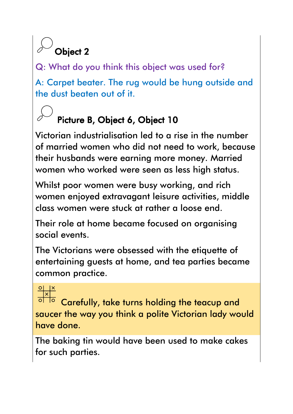# Object 2

Q: What do you think this object was used for?

A: Carpet beater. The rug would be hung outside and the dust beaten out of it.

## Picture B, Object 6, Object 10

Victorian industrialisation led to a rise in the number of married women who did not need to work, because their husbands were earning more money. Married women who worked were seen as less high status.

Whilst poor women were busy working, and rich women enjoyed extravagant leisure activities, middle class women were stuck at rather a loose end.

Their role at home became focused on organising social events.

The Victorians were obsessed with the etiquette of entertaining guests at home, and tea parties became common practice.

### $\frac{Q}{|x|}$

Carefully, take turns holding the teacup and saucer the way you think a polite Victorian lady would have done.

The baking tin would have been used to make cakes for such parties.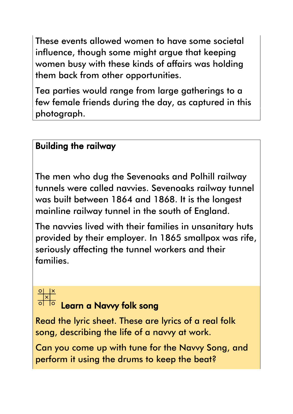These events allowed women to have some societal influence, though some might argue that keeping women busy with these kinds of affairs was holding them back from other opportunities.

Tea parties would range from large gatherings to a few female friends during the day, as captured in this photograph.

### Building the railway

The men who dug the Sevenoaks and Polhill railway tunnels were called navvies. Sevenoaks railway tunnel was built between 1864 and 1868. It is the longest mainline railway tunnel in the south of England.

The navvies lived with their families in unsanitary huts provided by their employer. In 1865 smallpox was rife, seriously affecting the tunnel workers and their families.

# $\begin{array}{c|c}\n\circ & \times \\
\hline\n\circ & \circ \\
\hline\n\circ & \circ\n\end{array}$

# Learn a Navvy folk song

Read the lyric sheet. These are lyrics of a real folk song, describing the life of a navvy at work.

Can you come up with tune for the Navvy Song, and perform it using the drums to keep the beat?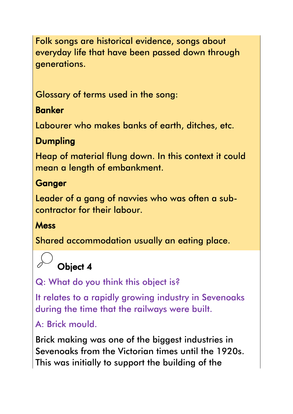Folk songs are historical evidence, songs about everyday life that have been passed down through generations.

Glossary of terms used in the song:

### **Banker**

Labourer who makes banks of earth, ditches, etc.

### Dumpling

Heap of material flung down. In this context it could mean a length of embankment.

### **Ganger**

Leader of a gang of navvies who was often a subcontractor for their labour.

### **Mess**

Shared accommodation usually an eating place.



Q: What do you think this object is?

It relates to a rapidly growing industry in Sevenoaks during the time that the railways were built.

A: Brick mould.

Brick making was one of the biggest industries in Sevenoaks from the Victorian times until the 1920s. This was initially to support the building of the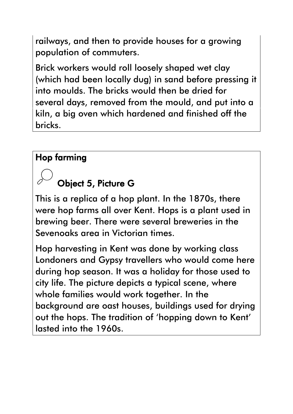railways, and then to provide houses for a growing population of commuters.

Brick workers would roll loosely shaped wet clay (which had been locally dug) in sand before pressing it into moulds. The bricks would then be dried for several days, removed from the mould, and put into a kiln, a big oven which hardened and finished off the bricks.

#### Hop farming

### Object 5, Picture G

This is a replica of a hop plant. In the 1870s, there were hop farms all over Kent. Hops is a plant used in brewing beer. There were several breweries in the Sevenoaks area in Victorian times.

Hop harvesting in Kent was done by working class Londoners and Gypsy travellers who would come here during hop season. It was a holiday for those used to city life. The picture depicts a typical scene, where whole families would work together. In the background are oast houses, buildings used for drying out the hops. The tradition of 'hopping down to Kent' lasted into the 1960s.